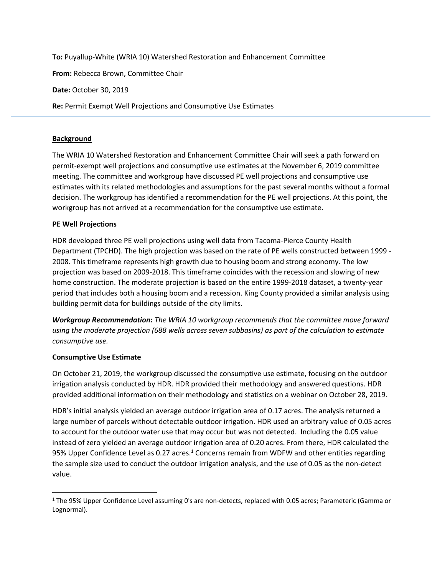**To:** Puyallup-White (WRIA 10) Watershed Restoration and Enhancement Committee **From:** Rebecca Brown, Committee Chair **Date:** October 30, 2019 **Re:** Permit Exempt Well Projections and Consumptive Use Estimates

## **Background**

The WRIA 10 Watershed Restoration and Enhancement Committee Chair will seek a path forward on permit-exempt well projections and consumptive use estimates at the November 6, 2019 committee meeting. The committee and workgroup have discussed PE well projections and consumptive use estimates with its related methodologies and assumptions for the past several months without a formal decision. The workgroup has identified a recommendation for the PE well projections. At this point, the workgroup has not arrived at a recommendation for the consumptive use estimate.

## **PE Well Projections**

HDR developed three PE well projections using well data from Tacoma-Pierce County Health Department (TPCHD). The high projection was based on the rate of PE wells constructed between 1999 - 2008. This timeframe represents high growth due to housing boom and strong economy. The low projection was based on 2009-2018. This timeframe coincides with the recession and slowing of new home construction. The moderate projection is based on the entire 1999-2018 dataset, a twenty-year period that includes both a housing boom and a recession. King County provided a similar analysis using building permit data for buildings outside of the city limits.

*Workgroup Recommendation: The WRIA 10 workgroup recommends that the committee move forward using the moderate projection (688 wells across seven subbasins) as part of the calculation to estimate consumptive use.* 

## **Consumptive Use Estimate**

 $\overline{a}$ 

On October 21, 2019, the workgroup discussed the consumptive use estimate, focusing on the outdoor irrigation analysis conducted by HDR. HDR provided their methodology and answered questions. HDR provided additional information on their methodology and statistics on a webinar on October 28, 2019.

HDR's initial analysis yielded an average outdoor irrigation area of 0.17 acres. The analysis returned a large number of parcels without detectable outdoor irrigation. HDR used an arbitrary value of 0.05 acres to account for the outdoor water use that may occur but was not detected. Including the 0.05 value instead of zero yielded an average outdoor irrigation area of 0.20 acres. From there, HDR calculated the 95% Upper Confidence Level as 0.27 acres.<sup>1</sup> Concerns remain from WDFW and other entities regarding the sample size used to conduct the outdoor irrigation analysis, and the use of 0.05 as the non-detect value.

<sup>&</sup>lt;sup>1</sup> The 95% Upper Confidence Level assuming 0's are non-detects, replaced with 0.05 acres; Parameteric (Gamma or Lognormal).